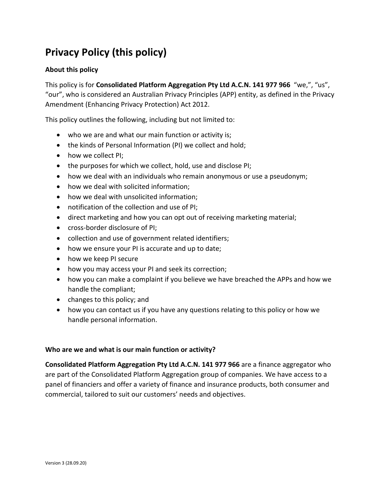# **Privacy Policy (this policy)**

# **About this policy**

This policy is for **Consolidated Platform Aggregation Pty Ltd A.C.N. 141 977 966** "we,", "us", "our", who is considered an Australian Privacy Principles (APP) entity, as defined in the Privacy Amendment (Enhancing Privacy Protection) Act 2012.

This policy outlines the following, including but not limited to:

- who we are and what our main function or activity is;
- the kinds of Personal Information (PI) we collect and hold;
- how we collect PI;
- the purposes for which we collect, hold, use and disclose PI;
- how we deal with an individuals who remain anonymous or use a pseudonym;
- how we deal with solicited information;
- how we deal with unsolicited information;
- notification of the collection and use of PI;
- direct marketing and how you can opt out of receiving marketing material;
- cross-border disclosure of PI;
- collection and use of government related identifiers;
- how we ensure your PI is accurate and up to date;
- how we keep PI secure
- how you may access your PI and seek its correction;
- how you can make a complaint if you believe we have breached the APPs and how we handle the compliant;
- changes to this policy; and
- how you can contact us if you have any questions relating to this policy or how we handle personal information.

# **Who are we and what is our main function or activity?**

**Consolidated Platform Aggregation Pty Ltd A.C.N. 141 977 966** are a finance aggregator who are part of the Consolidated Platform Aggregation group of companies. We have access to a panel of financiers and offer a variety of finance and insurance products, both consumer and commercial, tailored to suit our customers' needs and objectives.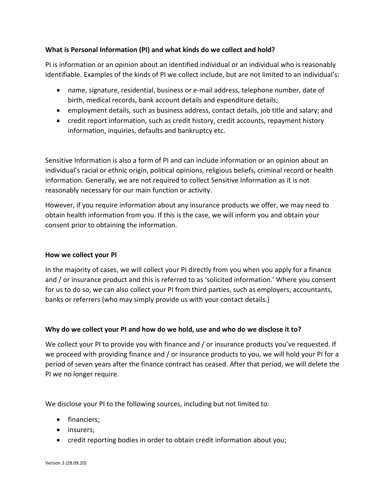# **What is Personal Information (PI) and what kinds do we collect and hold?**

PI is information or an opinion about an identified individual or an individual who is reasonably identifiable. Examples of the kinds of PI we collect include, but are not limited to an individual's:

- name, signature, residential, business or e-mail address, telephone number, date of birth, medical records, bank account details and expenditure details;
- employment details, such as business address, contact details, job title and salary; and
- credit report information, such as credit history, credit accounts, repayment history information, inquiries, defaults and bankruptcy etc.

Sensitive Information is also a form of PI and can include information or an opinion about an individual's racial or ethnic origin, political opinions, religious beliefs, criminal record or health information. Generally, we are not required to collect Sensitive Information as it is not reasonably necessary for our main function or activity.

However, if you require information about any insurance products we offer, we may need to obtain health information from you. If this is the case, we will inform you and obtain your consent prior to obtaining the information.

# **How we collect your PI**

In the majority of cases, we will collect your PI directly from you when you apply for a finance and / or insurance product and this is referred to as 'solicited information.' Where you consent for us to do so, we can also collect your PI from third parties, such as employers, accountants, banks or referrers (who may simply provide us with your contact details.)

# **Why do we collect your PI and how do we hold, use and who do we disclose it to?**

We collect your PI to provide you with finance and / or insurance products you've requested. If we proceed with providing finance and / or insurance products to you, we will hold your PI for a period of seven years after the finance contract has ceased. After that period, we will delete the PI we no longer require.

We disclose your PI to the following sources, including but not limited to:

- financiers;
- insurers;
- credit reporting bodies in order to obtain credit information about you;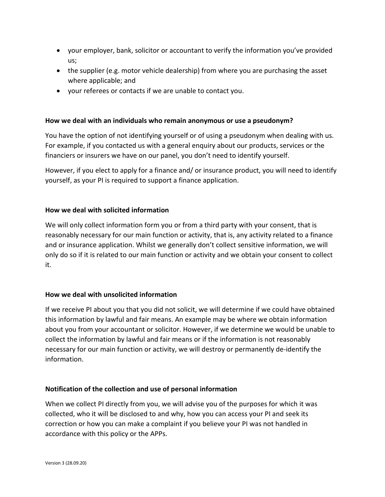- your employer, bank, solicitor or accountant to verify the information you've provided us;
- the supplier (e.g. motor vehicle dealership) from where you are purchasing the asset where applicable; and
- your referees or contacts if we are unable to contact you.

# **How we deal with an individuals who remain anonymous or use a pseudonym?**

You have the option of not identifying yourself or of using a pseudonym when dealing with us. For example, if you contacted us with a general enquiry about our products, services or the financiers or insurers we have on our panel, you don't need to identify yourself.

However, if you elect to apply for a finance and/ or insurance product, you will need to identify yourself, as your PI is required to support a finance application.

## **How we deal with solicited information**

We will only collect information form you or from a third party with your consent, that is reasonably necessary for our main function or activity, that is, any activity related to a finance and or insurance application. Whilst we generally don't collect sensitive information, we will only do so if it is related to our main function or activity and we obtain your consent to collect it.

# **How we deal with unsolicited information**

If we receive PI about you that you did not solicit, we will determine if we could have obtained this information by lawful and fair means. An example may be where we obtain information about you from your accountant or solicitor. However, if we determine we would be unable to collect the information by lawful and fair means or if the information is not reasonably necessary for our main function or activity, we will destroy or permanently de-identify the information.

#### **Notification of the collection and use of personal information**

When we collect PI directly from you, we will advise you of the purposes for which it was collected, who it will be disclosed to and why, how you can access your PI and seek its correction or how you can make a complaint if you believe your PI was not handled in accordance with this policy or the APPs.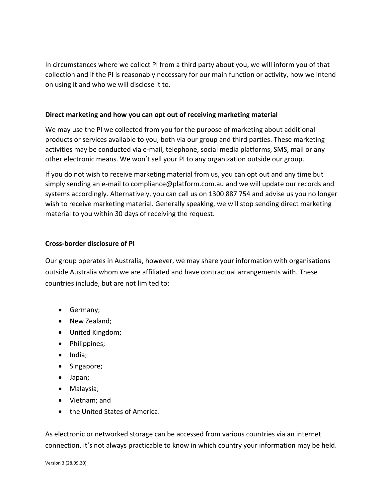In circumstances where we collect PI from a third party about you, we will inform you of that collection and if the PI is reasonably necessary for our main function or activity, how we intend on using it and who we will disclose it to.

## **Direct marketing and how you can opt out of receiving marketing material**

We may use the PI we collected from you for the purpose of marketing about additional products or services available to you, both via our group and third parties. These marketing activities may be conducted via e-mail, telephone, social media platforms, SMS, mail or any other electronic means. We won't sell your PI to any organization outside our group.

If you do not wish to receive marketing material from us, you can opt out and any time but simply sending an e-mail to compliance@platform.com.au and we will update our records and systems accordingly. Alternatively, you can call us on 1300 887 754 and advise us you no longer wish to receive marketing material. Generally speaking, we will stop sending direct marketing material to you within 30 days of receiving the request.

## **Cross-border disclosure of PI**

Our group operates in Australia, however, we may share your information with organisations outside Australia whom we are affiliated and have contractual arrangements with. These countries include, but are not limited to:

- Germany;
- New Zealand;
- United Kingdom;
- Philippines;
- India;
- Singapore;
- Japan;
- Malaysia;
- Vietnam; and
- the United States of America.

As electronic or networked storage can be accessed from various countries via an internet connection, it's not always practicable to know in which country your information may be held.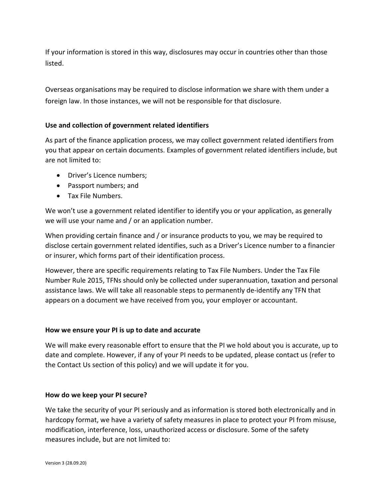If your information is stored in this way, disclosures may occur in countries other than those listed.

Overseas organisations may be required to disclose information we share with them under a foreign law. In those instances, we will not be responsible for that disclosure.

# **Use and collection of government related identifiers**

As part of the finance application process, we may collect government related identifiers from you that appear on certain documents. Examples of government related identifiers include, but are not limited to:

- Driver's Licence numbers;
- Passport numbers; and
- Tax File Numbers.

We won't use a government related identifier to identify you or your application, as generally we will use your name and / or an application number.

When providing certain finance and / or insurance products to you, we may be required to disclose certain government related identifies, such as a Driver's Licence number to a financier or insurer, which forms part of their identification process.

However, there are specific requirements relating to Tax File Numbers. Under the Tax File Number Rule 2015, TFNs should only be collected under superannuation, taxation and personal assistance laws. We will take all reasonable steps to permanently de-identify any TFN that appears on a document we have received from you, your employer or accountant.

# **How we ensure your PI is up to date and accurate**

We will make every reasonable effort to ensure that the PI we hold about you is accurate, up to date and complete. However, if any of your PI needs to be updated, please contact us (refer to the Contact Us section of this policy) and we will update it for you.

#### **How do we keep your PI secure?**

We take the security of your PI seriously and as information is stored both electronically and in hardcopy format, we have a variety of safety measures in place to protect your PI from misuse, modification, interference, loss, unauthorized access or disclosure. Some of the safety measures include, but are not limited to: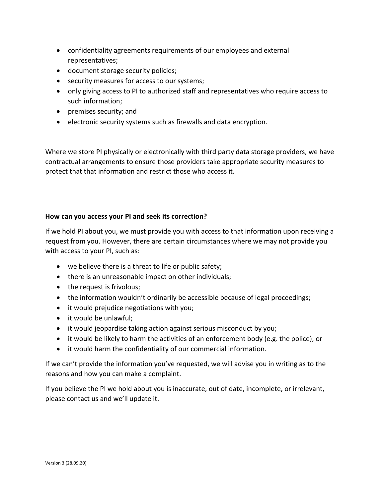- confidentiality agreements requirements of our employees and external representatives;
- document storage security policies;
- security measures for access to our systems;
- only giving access to PI to authorized staff and representatives who require access to such information;
- premises security; and
- electronic security systems such as firewalls and data encryption.

Where we store PI physically or electronically with third party data storage providers, we have contractual arrangements to ensure those providers take appropriate security measures to protect that that information and restrict those who access it.

# **How can you access your PI and seek its correction?**

If we hold PI about you, we must provide you with access to that information upon receiving a request from you. However, there are certain circumstances where we may not provide you with access to your PI, such as:

- we believe there is a threat to life or public safety;
- there is an unreasonable impact on other individuals;
- the request is frivolous;
- the information wouldn't ordinarily be accessible because of legal proceedings;
- it would prejudice negotiations with you;
- it would be unlawful;
- it would jeopardise taking action against serious misconduct by you;
- it would be likely to harm the activities of an enforcement body (e.g. the police); or
- it would harm the confidentiality of our commercial information.

If we can't provide the information you've requested, we will advise you in writing as to the reasons and how you can make a complaint.

If you believe the PI we hold about you is inaccurate, out of date, incomplete, or irrelevant, please contact us and we'll update it.